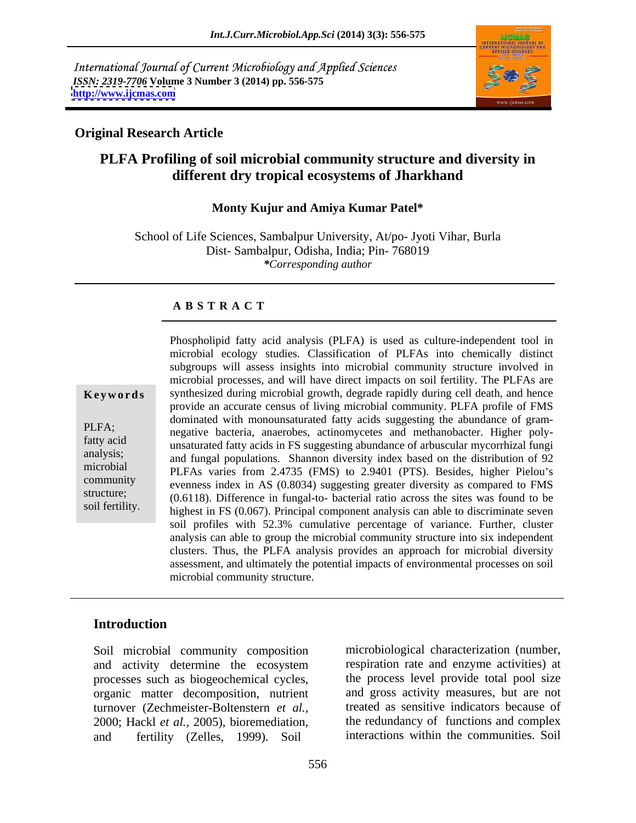International Journal of Current Microbiology and Applied Sciences *ISSN: 2319-7706* **Volume 3 Number 3 (2014) pp. 556-575 <http://www.ijcmas.com>**



## **Original Research Article**

# **PLFA Profiling of soil microbial community structure and diversity in different dry tropical ecosystems of Jharkhand**

### **Monty Kujur and Amiya Kumar Patel\***

School of Life Sciences, Sambalpur University, At/po- Jyoti Vihar, Burla Dist- Sambalpur, Odisha, India; Pin- 768019 *\*Corresponding author*

### **A B S T R A C T**

**Keywords** synthesized during microbial growth, degrade rapidly during cell death, and hence PLFA;<br>
negative bacteria, anaerobes, actinomycetes and methanobacter. Higher polyfatty acid unsaturated fatty acids in FS suggesting abundance of arbuscular mycorrhizal fungi analysis; and fungal populations. Shannon diversity index based on the distribution of 92 microbial PLFAs varies from 2.4735 (FMS) to 2.9401 (PTS). Besides, higher Pielou's community evenness index in AS  $(0.8034)$  suggesting greater diversity as compared to FMS structure; (0.6118). Difference in fungal-to- bacterial ratio across the sites was found to be soil fertility.<br>highest in FS (0.067). Principal component analysis can able to discriminate seven Phospholipid fatty acid analysis (PLFA) is used as culture-independent tool in microbial ecology studies. Classification of PLFAs into chemically distinct subgroups will assess insights into microbial community structure involved in microbial processes, and will have direct impacts on soil fertility. The PLFAs are provide an accurate census of living microbial community. PLFA profile of FMS dominated with monounsaturated fatty acids suggesting the abundance of gram soil profiles with 52.3% cumulative percentage of variance. Further, cluster analysis can able to group the microbial community structure into six independent clusters. Thus, the PLFA analysis provides an approach for microbial diversity assessment, and ultimately the potential impacts of environmental processes on soil microbial community structure.

## **Introduction**

Soil microbial community composition and activity determine the ecosystem respiration rate and enzyme activities) at processes such as biogeochemical cycles, organic matter decomposition, nutrient turnover (Zechmeister-Boltenstern *et al.,* 2000; Hackl *et al.,* 2005), bioremediation, and fertility (Zelles, 1999). Soil

microbiological characterization (number, respiration rate and enzyme activities) at the process level provide total pool size and gross activity measures, but are not treated as sensitive indicators because of the redundancy of functions and complex interactions within the communities. Soil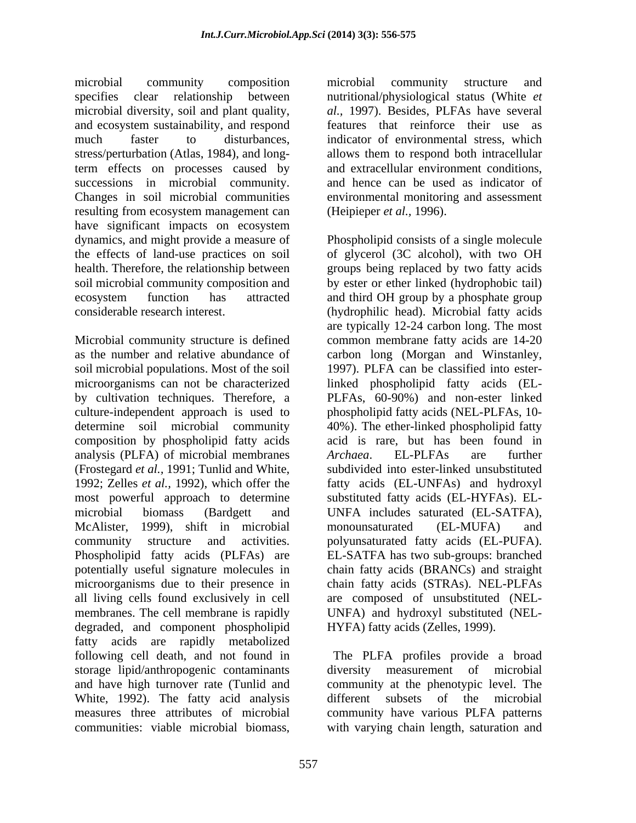microbial community composition specifies clear relationship between nutritional/physiological status (White *et*  microbial diversity, soil and plant quality, and ecosystem sustainability, and respond much faster to disturbances, indicator of environmental stress, which stress/perturbation (Atlas, 1984), and longterm effects on processes caused by successions in microbial community. Changes in soil microbial communities environmental monitoring and assessment resulting from ecosystem management can have significant impacts on ecosystem the effects of land-use practices on soil

soil microbial populations. Most of the soil composition by phospholipid fatty acids analysis (PLFA) of microbial membranes Archaea. EL-PLFAs are further (Frostegard *et al.,* 1991; Tunlid and White, degraded, and component phospholipid fatty acids are rapidly metabolized following cell death, and not found in The PLFA profiles provide a broad storage lipid/anthropogenic contaminants diversity measurement of microbial and have high turnover rate (Tunlid and White, 1992). The fatty acid analysis conditioner all subsets of the microbial measures three attributes of microbial community have various PLFA patterns communities: viable microbial biomass, with varying chain length, saturation and

microbial community structure and *al.,* 1997). Besides, PLFAs have several features that reinforce their use as allows them to respond both intracellular and extracellular environment conditions, and hence can be used as indicator of (Heipieper *et al.,* 1996).

dynamics, and might provide a measure of Phospholipid consists of a single molecule health. Therefore, the relationship between groups being replaced by two fatty acids soil microbial community composition and by ester or ether linked (hydrophobic tail) ecosystem function has attracted and third OH group by a phosphate group considerable research interest. (hydrophilic head). Microbial fatty acids Microbial community structure is defined common membrane fatty acids are 14-20 as the number and relative abundance of carbon long (Morgan and Winstanley, microorganisms can not be characterized linked phospholipid fatty acids (EL by cultivation techniques. Therefore, a PLFAs, 60-90%) and non-ester linked culture-independent approach is used to phospholipid fatty acids (NEL-PLFAs, 10 determine soil microbial community 40%). The ether-linked phospholipid fatty 1992; Zelles *et al.,* 1992), which offer the fatty acids (EL-UNFAs) and hydroxyl most powerful approach to determine substituted fatty acids (EL-HYFAs). EL microbial biomass (Bardgett and UNFA includes saturated (EL-SATFA), McAlister, 1999), shift in microbial community structure and activities. polyunsaturated fatty acids (EL-PUFA). Phospholipid fatty acids (PLFAs) are EL-SATFA has two sub-groups: branched potentially useful signature molecules in chain fatty acids (BRANCs) and straight microorganisms due to their presence in chain fatty acids (STRAs). NEL-PLFAs all living cells found exclusively in cell are composed of unsubstituted (NEL membranes. The cell membrane is rapidly UNFA) and hydroxyl substituted (NEL of glycerol (3C alcohol), with two OH are typically 12-24 carbon long. The most 1997). PLFA can be classified into esteracid is rare, but has been found in *Archaea*. EL-PLFAs are further subdivided into ester-linked unsubstituted monounsaturated (EL-MUFA) and HYFA) fatty acids (Zelles, 1999).

> community at the phenotypic level. The different subsets of the microbial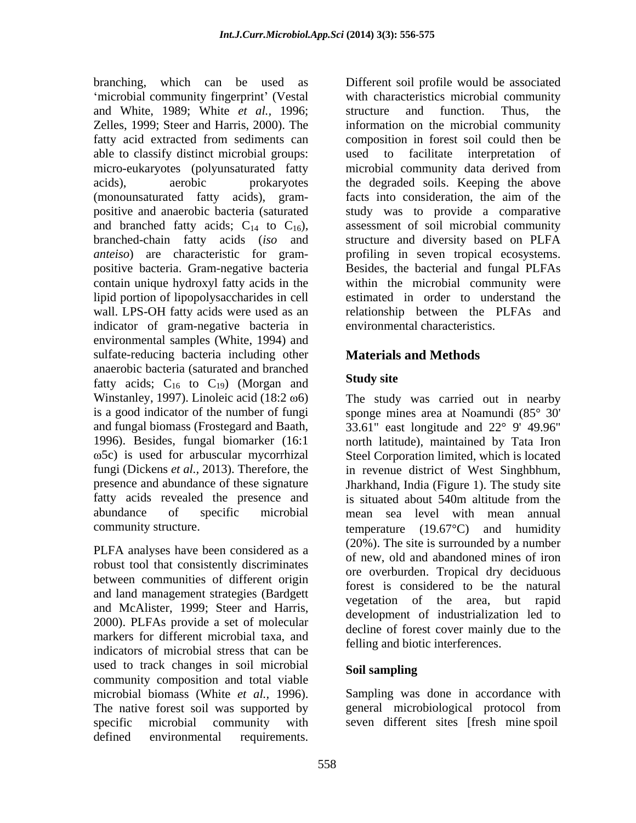branching, which can be used as 'microbial community fingerprint' (Vestal and White, 1989; White *et al.,* 1996; able to classify distinct microbial groups: used to facilitate interpretation of micro-eukaryotes (polyunsaturated fatty (monounsaturated fatty acids), gram positive and anaerobic bacteria (saturated contain unique hydroxyl fatty acids in the indicator of gram-negative bacteria in environmental samples (White, 1994) and sulfate-reducing bacteria including other anaerobic bacteria (saturated and branched<br>fatty, acids:  $C_{\text{tot}}$  to  $C_{\text{tot}}$ ). (Morgan, and **Study site** fatty acids;  $C_{16}$  to  $C_{19}$ ) (Morgan and Winstanley, 1997). Linoleic acid (18:2  $\omega$ 6) Winstanley, 1997). Linoleic acid (18:2  $\omega$ 6) The study was carried out in nearby is a good indicator of the number of fungi sponge mines area at Noamundi (85° 30' and fungal biomass (Frostegard and Baath, 33.61" east longitude and 22° 9' 49.96" 1996). Besides, fungal biomarker (16:1 north latitude), maintained by Tata Iron fungi (Dickens *et al.,* 2013). Therefore, the in revenue district of West Singhbhum, presence and abundance of these signature Jharkhand, India (Figure 1). The study site fatty acids revealed the presence and is situated about 540m altitude from the abundance of specific microbial mean sea level with mean annual braching, which can be used as for<br>if the simulation of the simulation of the simulation. Thus, the<br>maximum and What is equilibre and internal requirements. Thus, the<br>state of the simulation of the simulation of the simul

PLFA analyses have been considered as a robust tool that consistently discriminates between communities of different origin and land management strategies (Bardgett and McAlister, 1999; Steer and Harris, 2000). PLFAs provide a set of molecular markers for different microbial taxa, and indicators of microbial stress that can be used to track changes in soil microbial Soil sampling community composition and total viable microbial biomass (White *et al.,* 1996). The native forest soil was supported by general microbiological protocol from specific microbial community with seven different sites [fresh mine spoil

Zelles, 1999; Steer and Harris, 2000). The information on the microbial community fatty acid extracted from sediments can composition in forest soil could then be acids), aerobic prokaryotes the degraded soils. Keeping the above and branched fatty acids;  $C_{14}$  to  $C_{16}$ ), assessment of soil microbial community branched-chain fatty acids *(iso* and structure and diversity based on PLFA *anteiso*) are characteristic for gram- profiling in seven tropical ecosystems. positive bacteria. Gram-negative bacteria Besides, the bacterial and fungal PLFAs lipid portion of lipopolysaccharides in cell estimated in order to understand the wall. LPS-OH fatty acids were used as an relationship between the PLFAs and with characteristics microbial community structure and function. Thus, the used to facilitate interpretation of microbial community data derived from facts into consideration, the aim of the study was to provide a comparative assessment of soil microbial community structure and diversity based on PLFA within the microbial community were environmental characteristics.

# **Materials and Methods**

## **Study site**

5c) is used for arbuscular mycorrhizal Steel Corporation limited, which is located community structure. temperature (19.67°C) and humidity is situated about 540m altitude from the (20%). The site is surrounded by a number of new, old and abandoned mines of iron ore overburden. Tropical dry deciduous forest is considered to be the natural vegetation of the area, but rapid development of industrialization led to decline of forest cover mainly due to the felling and biotic interferences.

### **Soil sampling**

Sampling was done in accordance with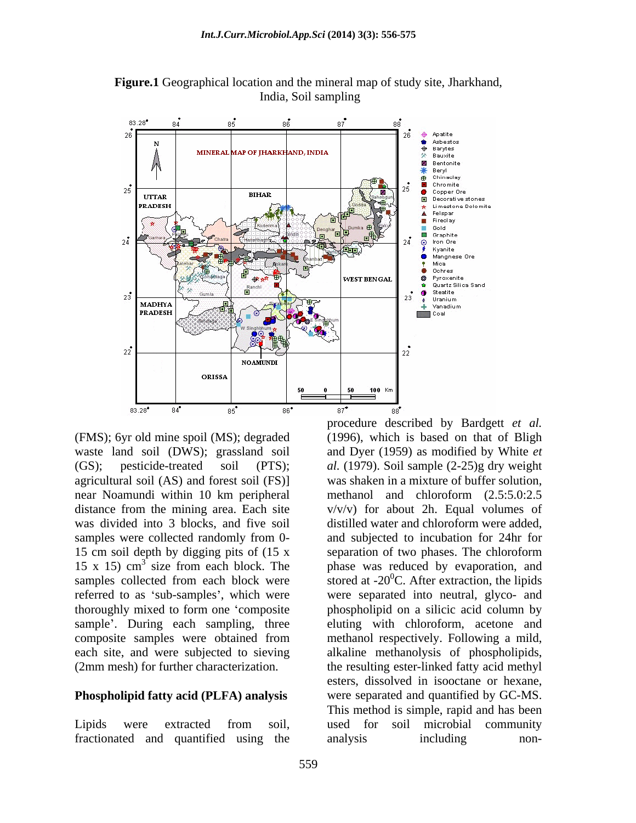

**Figure.1** Geographical location and the mineral map of study site, Jharkhand, India, Soil sampling

(FMS); 6yr old mine spoil (MS); degraded (1996), which is based on that of Bligh waste land soil (DWS); grassland soil and Dyer (1959) as modified by White *et*  (GS); pesticide-treated soil (PTS); *al.* (1979). Soil sample (2-25)g dry weight agricultural soil (AS) and forest soil (FS)] was shaken in a mixture of buffer solution, near Noamundi within 10 km peripheral distance from the mining area. Each site  $v/v/v$  for about 2h. Equal volumes of was divided into 3 blocks, and five soil distilled water and chloroform were added, samples were collected randomly from 0- 15 cm soil depth by digging pits of (15 x separation of two phases. The chloroform 15 x 15)  $\text{cm}^3$  size from each block. The phase was reduced by evaporation, and samples collected from each block were stored at  $-20^{\circ}$ C. After extraction, the lipids referred to as 'sub-samples', which were were separated into neutral, glyco- and thoroughly mixed to form one composite phospholipid on a silicic acid column by sample'. During each sampling, three eluting with chloroform, acetone and composite samples were obtained from each site, and were subjected to sieving alkaline methanolysis of phospholipids,

fractionated and quantified using the

(2mm mesh) for further characterization. the resulting ester-linked fatty acid methyl **Phospholipid fatty acid (PLFA) analysis** were separated and quantified by GC-MS. Lipids were extracted from soil, used for soil microbial community procedure described by Bardgett *et al.* was shaken in a mixture of buffer solution,<br>methanol and chloroform (2.5:5.0:2.5) and subjected to incubation for 24hr for methanol respectively. Following a mild, esters, dissolved in isooctane or hexane, were separated and quantified by GC-MS. This method is simple, rapid and has been used for soil microbial community analysis including non-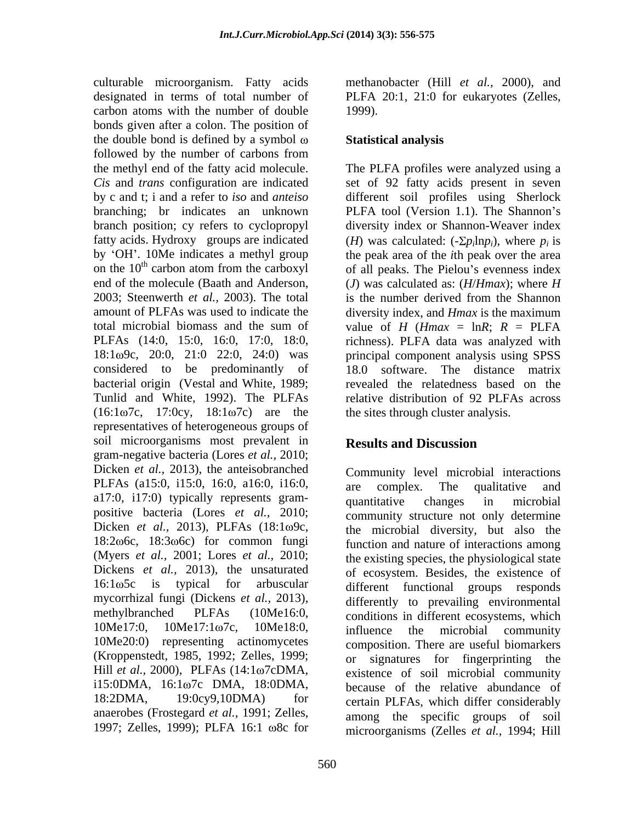culturable microorganism. Fatty acids methanobacter (Hill *et al.,* 2000), and designated in terms of total number of PLFA 20:1, 21:0 for eukaryotes (Zelles, carbon atoms with the number of double bonds given after a colon. The position of the double bond is defined by a symbol  $\omega$  Statistical analysis followed by the number of carbons from the methyl end of the fatty acid molecule. The PLFA profiles were analyzed using a *Cis* and *trans* configuration are indicated set of 92 fatty acids present in seven by c and t; i and a refer to *iso* and *anteiso* different soil profiles using Sherlock branching; br indicates an unknown PLFA tool (Version 1.1). The Shannon's branch position; cy refers to cyclopropyl diversity index or Shannon-Weaver index fatty acids. Hydroxy groups are indicated  $(H)$  was calculated:  $(-\Sigma p_i \ln p_i)$ , where  $p_i$  is by 'OH'. 10Me indicates a methyl group the peak area of the *i*th peak over the area on the  $10<sup>th</sup>$  carbon atom from the carboxyl of all peaks. The Pielou's evenness index end of the molecule (Baath and Anderson, (*J*) was calculated as: (*H*/*Hmax*); where *H* 2003; Steenwerth *et al.*, 2003). The total is the number derived from the Shannon amount of PLFAs was used to indicate the diversity index, and *Hmax* is the maximum total microbial biomass and the sum of value of *H* ( $H_{max} = \ln R$ ;  $R = \text{PLFA}$ PLFAs (14:0, 15:0, 16:0, 17:0, 18:0, richness). PLFA data was analyzed with 18:1ω9c, 20:0, 21:0 22:0, 24:0) was considered to be predominantly of bacterial origin (Vestal and White, 1989; revealed the relatedness based on the Tunlid and White, 1992). The PLFAs relative distribution of 92 PLFAs across  $(16:1\omega7c, 17:0cy, 18:1\omega7c)$  are the representatives of heterogeneous groups of soil microorganisms most prevalent in **Results and Discussion** gram-negative bacteria (Lores *et al.,* 2010; Dicken *et al.*, 2013), the anteisobranched PLFAs (a15:0, i15:0, 16:0, a16:0, i16:0, are complex. The qualitative and a17:0, i17:0) typically represents gram- (Myers *et al.,* 2001; Lores *et al.,* 2010; Dickens *et al.,* 2013), the unsaturated mycorrhizal fungi (Dickens *et al.,* 2013), (Kroppenstedt, 1985, 1992; Zelles, 1999; anaerobes (Frostegard *et al.,* 1991; Zelles, 1997; Zelles, 1999); PLFA 16:1  $\omega$ 8c for

1999).

### **Statistical analysis**

 $ln p_i$ , where  $p_i$  is is is the number derived from the Shannon principal component analysis using SPSS 18.0 software. The distance matrix the sites through cluster analysis.

# **Results and Discussion**

positive bacteria (Lores *et al.*, 2010; community structure not only determine Dicken *et al.*, 2013), PLFAs (18:1 $\omega$ 9c, the microbial diversity, but also the 18:2 $\omega$ 6c, 18:3 $\omega$ 6c) for common fungi function and nature of interactions among 16:1 $\omega$ 5c is typical for arbuscular different functional groups responds methylbranched PLFAs (10Me16:0, conditions in different ecosystems, which  $10$ Me17:0,  $10$ Me17:1 $\omega$ 7c,  $10$ Me18:0, influence the microbial community<br> $10$ Me20:0) representing actinomycetes composition. There are useful biomarkers Hill *et al.*, 2000), PLFAs (14:1ω7cDMA, existence of soil microbial community<br>i15:0DMA, 16:1ω7c DMA, 18:0DMA, because of the relative abundance of 18:2DMA, 19:0cy9,10DMA) for certain PLFAs, which differ considerably Community level microbial interactions are complex. The qualitative and quantitative changes in microbial the microbial diversity, but also the function and nature of interactions among the existing species, the physiological state of ecosystem. Besides, the existence of differently to prevailing environmental influence the microbial community composition. There are useful biomarkers or signatures for fingerprinting the existence of soil microbial community because of the relative abundance of among the specific groups of soil microorganisms (Zelles *et al.,* 1994; Hill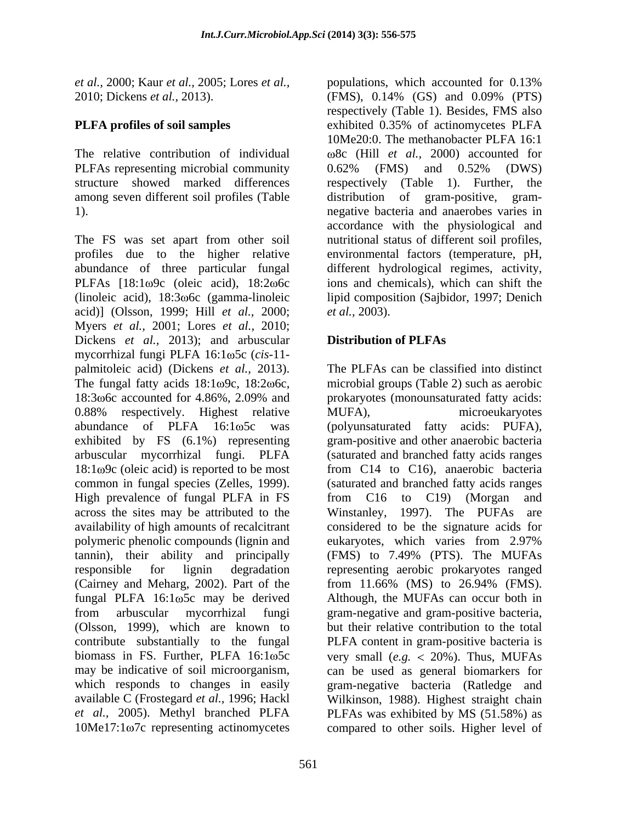*et al.,* 2000; Kaur *et al.,* 2005; Lores *et al.,*

PLFAs representing microbial community  $0.62\%$  (FMS) and  $0.52\%$  (DWS)

The FS was set apart from other soil profiles due to the higher relative environmental factors (temperature, pH, abundance of three particular fungal PLFAs  $[18:1\omega9c$  (oleic acid),  $18:2\omega6c$ (linoleic acid), 18:3 6c (gamma-linoleic lipid composition (Sajbidor, 1997; Denich acid)] (Olsson, 1999; Hill *et al.,* 2000; Myers *et al.,* 2001; Lores *et al.,* 2010; Dickens *et al.*, 2013); and arbuscular **Distribution of PLFAs** mycorrhizal fungi PLFA 16:1 $\omega$ 5c (*cis-11*palmitoleic acid) (Dickens *et al.,* 2013). The fungal fatty acids  $18:1\omega$ 9c,  $18:2\omega$ 6c, microbial groups (Table 2) such as aerobic 18:3 $\omega$ 6c accounted for 4.86%, 2.09% and prokaryotes (monounsaturated fatty acids: 0.88% respectively. Highest relative MUFA), microeukaryotes abundance of PLFA 16:1 $\omega$ 5c was (polyunsaturated fatty acids: PUFA), exhibited by FS (6.1%) representing arbuscular mycorrhizal fungi. PLFA (saturated and branched fatty acids ranges  $18:1\omega$ 9c (oleic acid) is reported to be most common in fungal species (Zelles, 1999). (saturated and branched fatty acids ranges High prevalence of fungal PLFA in FS from C16 to C19) (Morgan and across the sites may be attributed to the Winstanley, 1997). The PUFAs are availability of high amounts of recalcitrant polymeric phenolic compounds (lignin and eukaryotes, which varies from 2.97% tannin), their ability and principally (FMS) to 7.49% (PTS). The MUFAs responsible for lignin degradation representing aerobic prokaryotes ranged (Cairney and Meharg, 2002). Part of the  $\frac{11.66\%}{11.66\%}$  (MS) to 26.94% (FMS). fungal PLFA 16:1 $\omega$ 5c may be derived Although, the MUFAs can occur both in from arbuscular mycorrhizal fungi gram-negative and gram-positive bacteria, (Olsson, 1999), which are known to but their relative contribution to the total contribute substantially to the fungal PLFA content in gram-positive bacteria is biomass in FS. Further, PLFA 16:1 $\omega$ 5c very small (*e.g.* < 20%). Thus, MUFAs may be indicative of soil microorganism, can be used as general biomarkers for which responds to changes in easily gram-negative bacteria (Ratledge and available C (Frostegard *et al.,* 1996; Hackl Wilkinson, 1988). Highest straight chain *et al.,* 2005). Methyl branched PLFA PLFAs was exhibited by MS (51.58%) as 10Me17:1ω7c representing actinomycetes compared to other soils. Higher level of

2010; Dickens *et al.,* 2013). (FMS), 0.14% (GS) and 0.09% (PTS) **PLFA profiles of soil samples** exhibited 0.35% of actinomycetes PLFA The relative contribution of individual 8c (Hill *et al.,* 2000) accounted for structure showed marked differences respectively (Table 1). Further, the among seven different soil profiles (Table distribution of gram-positive, gram- 1). negative bacteria and anaerobes varies in populations, which accounted for 0.13% respectively (Table 1). Besides, FMS also exhibited 0.35% of actinomycetes PLFA 10Me20:0. The methanobacter PLFA 16:1 0.62% (FMS) and 0.52% (DWS) accordance with the physiological and nutritional status of different soil profiles, different hydrological regimes, activity, ions and chemicals), which can shift the *et al.,* 2003).

## **Distribution of PLFAs**

The PLFAs can be classified into distinct prokaryotes (monounsaturated fatty acids: MUFA), microeukaryotes gram-positive and other anaerobic bacteria from C14 to C16), anaerobic bacteria from C16 to C19) (Morgan and Winstanley, 1997). The PUFAs considered to be the signature acids for eukaryotes, which varies from 2.97% from 11.66% (MS) to 26.94% (FMS).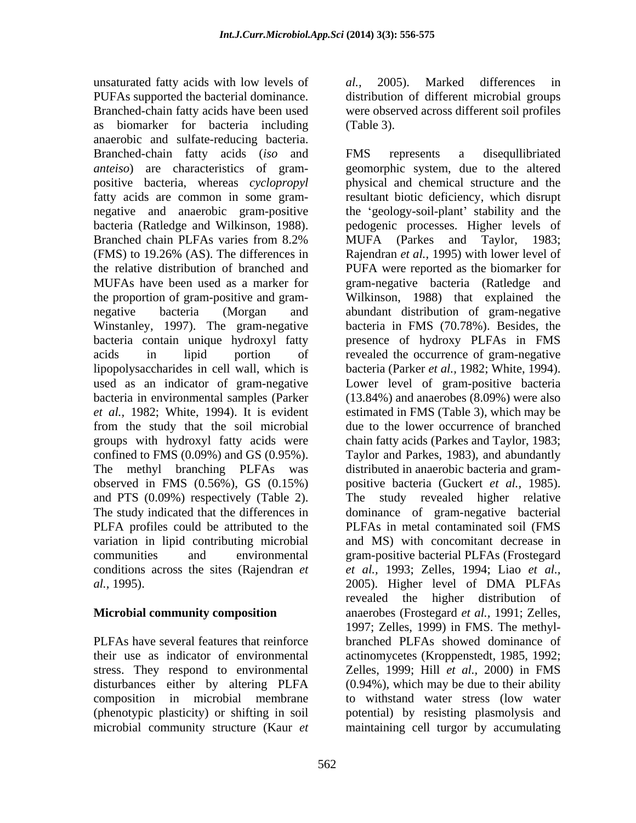unsaturated fatty acids with low levels of al., 2005). Marked differences in PUFAs supported the bacterial dominance. distribution of different microbial groups Branched-chain fatty acids have been used were observed across different soil profiles as biomarker for bacteria including anaerobic and sulfate-reducing bacteria. Branched-chain fatty acids (*iso* and bacteria (Ratledge and Wilkinson, 1988). PLFA profiles could be attributed to the

(phenotypic plasticity) or shifting in soil

*al.,* 2005). Marked differences in (Table 3).

*anteiso*) are characteristics of gram- geomorphic system, due to the altered positive bacteria, whereas *cyclopropyl*  physical and chemical structure and the fatty acids are common in some gram-<br>resultant biotic deficiency, which disrupt negative and anaerobic gram-positive the geology-soil-plant' stability and the Branched chain PLFAs varies from 8.2% MUFA (Parkes and Taylor, 1983; (FMS) to 19.26% (AS). The differences in Rajendran *et al.*, 1995) with lower level of the relative distribution of branched and PUFA were reported as the biomarker for MUFAs have been used as a marker for gram-negative bacteria (Ratledge and the proportion of gram-positive and gram- Wilkinson, 1988) that explained the negative bacteria (Morgan and abundant distribution of gram-negative Winstanley, 1997). The gram-negative bacteria in FMS (70.78%). Besides, the bacteria contain unique hydroxyl fatty presence of hydroxy PLFAsin FMS acids in lipid portion of revealed the occurrence of gram-negative lipopolysaccharides in cell wall, which is bacteria (Parker *et al.,* 1982; White, 1994). used as an indicator of gram-negative Lower level of gram-positive bacteria bacteria in environmental samples (Parker (13.84%) and anaerobes (8.09%) were also et al., 1982; White, 1994). It is evident estimated in FMS (Table 3), which may be from the study that the soil microbial due to the lower occurrence of branched groups with hydroxyl fatty acids were chain fatty acids (Parkes and Taylor, 1983; confined to FMS (0.09%) and GS (0.95%). Taylor and Parkes, 1983), and abundantly The methyl branching PLFAs was distributed in anaerobic bacteria and gram observed in FMS (0.56%), GS (0.15%) positive bacteria (Guckert *et al.,* 1985). and PTS (0.09%) respectively (Table 2). The study revealed higher relative The study indicated that the differences in dominance of gram-negative bacterial variation in lipid contributing microbial and MS) with concomitant decrease in communities and environmental gram-positive bacterial PLFAs (Frostegard conditions across the sites (Rajendran *et et al.,* 1993; Zelles, 1994; Liao *et al., al.,* 1995). 2005). Higher level of DMA PLFAs **Microbial community composition** anaerobes (Frostegard *et al.,* 1991; Zelles, PLFAs have several features that reinforce branched PLFAs showed dominance of their use as indicator of environmental actinomycetes (Kroppenstedt, 1985, 1992; stress. They respond to environmental Zelles, 1999; Hill *et al.,* 2000) in FMS disturbances either by altering PLFA (0.94%), which may be due to their ability composition in microbial membrane to withstand water stress (low water microbial community structure (Kaur *et*  maintaining cell turgor by accumulatingFMS represents a disequllibriated pedogenic processes. Higher levels of MUFA (Parkes and Taylor, 1983; Rajendran *et al.,* 1995) with lower level of PLFAs in metal contaminated soil (FMS revealed the higher distribution of 1997; Zelles, 1999) in FMS. The methyl potential) by resisting plasmolysis and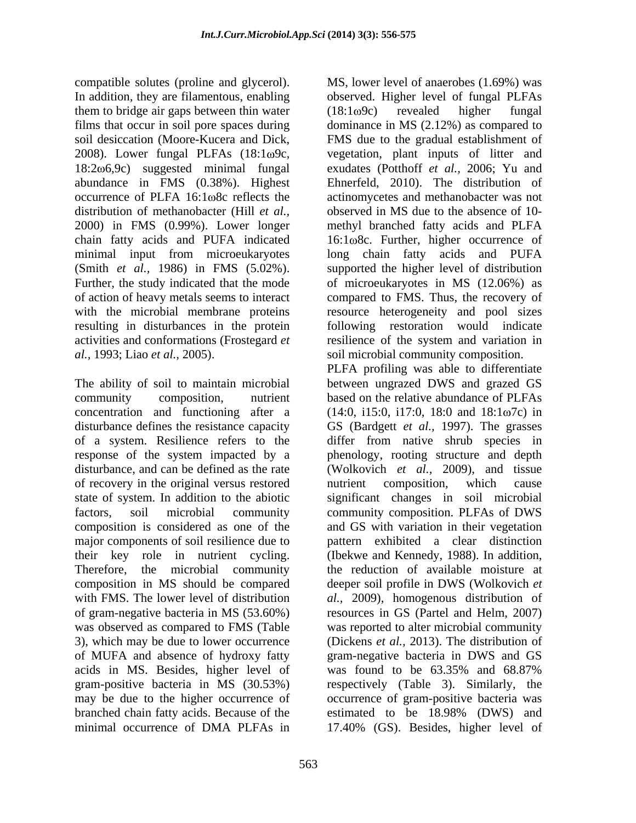compatible solutes (proline and glycerol). In addition, they are filamentous, enabling observed. Higher level of fungal PLFAs them to bridge air gaps between thin water  $(18:1\omega 9c)$  revealed higher fungal films that occur in soil pore spaces during dominance in MS (2.12%) as compared to soil desiccation (Moore-Kucera and Dick, FMS due to the gradual establishment of 2008). Lower fungal PLFAs (18:1 $\omega$ 9c, vegetation, plant inputs of litter and 18:2 $\omega$ 6,9c) suggested minimal fungal exudates (Potthoff *et al.*, 2006; Yu and abundance in FMS (0.38%). Highest occurrence of PLFA 16:1 $\omega$ 8c reflects the actinomycetes and methanobacter was not distribution of methanobacter (Hill *et al.,* observed in MS due to the absence of 10- 2000) in FMS (0.99%). Lower longer methyl branched fatty acids and PLFA chain fatty acids and PUFA indicated 16:1 $\omega$ 8c. Further, higher occurrence of minimal input from microeukaryotes long chain fatty acids and PUFA (Smith *et al.,* 1986) in FMS (5.02%). Further, the study indicated that the mode of microeukaryotes in MS (12.06%) as of action of heavy metals seems to interact compared to FMS. Thus, the recovery of with the microbial membrane proteins resource heterogeneity and pool sizes resulting in disturbances in the protein following restoration would indicate activities and conformations (Frostegard *et*  resilience of the system and variation in *al.,* 1993; Liao *et al.,* 2005). soil microbial community composition.

of a system. Resilience refers to the of recovery in the original versus restored nutrient composition, which cause major components of soil resilience due to of MUFA and absence of hydroxy fatty<br>acids in MS. Besides, higher level of may be due to the higher occurrence of branched chain fatty acids. Because of the estimated to be 18.98% (DWS) and minimal occurrence of DMA PLFAs in 17.40% (GS). Besides, higher level of

MS, lower level of anaerobes (1.69%) was (18:1 9c) revealed higher fungal vegetation, plant inputs of litter and exudates (Potthoff *et al.,* 2006; Yu and Ehnerfeld, 2010). The distribution of supported the higher level of distribution

The ability of soil to maintain microbial between ungrazed DWS and grazed GS community composition, nutrient based on the relative abundance of PLFAs concentration and functioning after a  $(14:0, i15:0, i17:0, 18:0$  and  $18:1\omega7c)$  in disturbance defines the resistance capacity GS (Bardgett *et al.,* 1997). The grasses response of the system impacted by a phenology, rooting structure and depth disturbance, and can be defined as the rate (Wolkovich *et al.,* 2009), and tissue state of system. In addition to the abiotic significant changes in soil microbial factors, soil microbial community community composition. PLFAs of DWS composition is considered as one of the and GS with variation in their vegetation their key role in nutrient cycling. (Ibekwe and Kennedy, 1988). In addition, Therefore, the microbial community the reduction of available moisture at composition in MS should be compared deeper soil profile in DWS (Wolkovich *et*  with FMS. The lower level of distribution *al.,* 2009), homogenous distribution of of gram-negative bacteria in MS (53.60%) resources in GS (Partel and Helm,2007) was observed as compared to FMS (Table was reported to alter microbial community 3), which may be due to lower occurrence (Dickens *et al.,* 2013). The distribution of was found to be  $63.35\%$  and  $68.87\%$ gram-positive bacteria in MS (30.53%) respectively (Table 3). Similarly, the PLFA profiling was able to differentiate differ from native shrub species in nutrient composition, which cause pattern exhibited a clear distinction gram-negative bacteria in DWS and GS was found to be 63.35% and 68.87% occurrence of gram-positive bacteria was estimated to be 18.98% (DWS) and 17.40% (GS). Besides, higher level of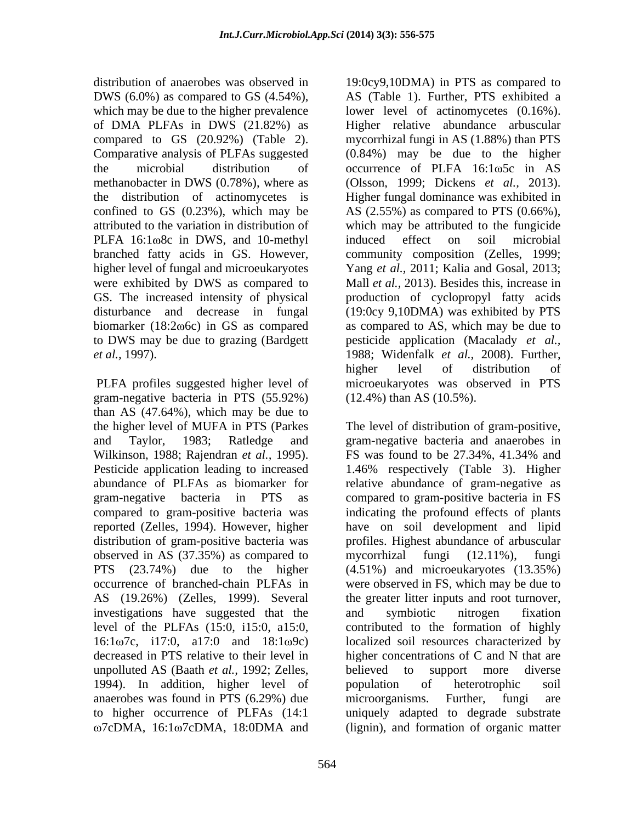the distribution of actinomycetes is PLFA 16:1 $\omega$ 8c in DWS, and 10-methyl induced effect on soil microbial were exhibited by DWS as compared to

gram-negative bacteria in PTS (55.92%) than AS (47.64%), which may be due to Wilkinson, 1988; Rajendran *et al.,* 1995). reported (Zelles, 1994). However, higher observed in AS (37.35%) as compared to mycorrhizal fungi (12.11%), fungi AS (19.26%) (Zelles, 1999). Several investigations have suggested that the and symbiotic nitrogen fixation unpolluted AS (Baath *et al.,* 1992; Zelles, 1994). In addition, higher level of population of heterotrophic soil anaerobes was found in PTS (6.29%) due microorganisms. Further, fungi are 7cDMA, 16:1 7cDMA, 18:0DMA and (lignin), and formation of organic matter

distribution of anaerobes was observed in 19:0cy9,10DMA) in PTS as compared to DWS (6.0%) as compared to GS (4.54%), AS (Table 1). Further, PTS exhibited a which may be due to the higher prevalence lower level of actinomycetes  $(0.16\%)$ . of DMA PLFAs in DWS (21.82%) as Higher relative abundance arbuscular compared to GS (20.92%) (Table 2). mycorrhizal fungi in AS (1.88%) than PTS Comparative analysis of PLFAs suggested (0.84%) may be due to the higher the microbial distribution of occurrence of PLFA 16:1 $\omega$ 5c in AS methanobacter in DWS (0.78%), where as (Olsson, 1999; Dickens *et al.,* 2013). confined to GS (0.23%), which may be AS (2.55%) as compared to PTS (0.66%), attributed to the variation in distribution of which may be attributed to the fungicide branched fatty acids in GS. However, community composition (Zelles, 1999; higher level of fungal and microeukaryotes Yang *et al.,* 2011; Kalia and Gosal, 2013; GS. The increased intensity of physical production of cyclopropyl fatty acids disturbance and decrease in fungal (19:0cy 9,10DMA) was exhibited by PTS biomarker (18:2 $\omega$ 6c) in GS as compared as compared to AS, which may be due to to DWS may be due to grazing (Bardgett pesticide application (Macalady *et al., et al.,* 1997). 1988; Widenfalk *et al.,* 2008). Further, PLFA profiles suggested higher level of microeukaryotes was observed in PTS Higher fungal dominance was exhibited in induced effect on soil microbial Mall *et al.,* 2013). Besides this, increase in higher level of distribution of (12.4%) than AS (10.5%).

the higher level of MUFA in PTS (Parkes The level of distribution of gram-positive, and Taylor, 1983; Ratledge and gram-negative bacteria and anaerobes in Pesticide application leading to increased 1.46% respectively (Table 3). Higher abundance of PLFAs as biomarker for relative abundance of gram-negative as gram-negative bacteria in PTS as compared to gram-positive bacteriain FS compared to gram-positive bacteria was indicating the profound effects of plants distribution of gram-positive bacteria was profiles. Highest abundance of arbuscular PTS (23.74%) due to the higher (4.51%) and microeukaryotes (13.35%) occurrence of branched-chain PLFAs in were observed in FS, which may be due to level of the PLFAs (15:0, i15:0, a15:0, contributed to the formation of highly 16:1 $\omega$ 7c, i17:0, a17:0 and 18:1 $\omega$ 9c) localized soil resources characterized by decreased in PTS relative to their level in higher concentrations of C and N that are to higher occurrence of PLFAs (14:1 uniquely adapted to degrade substrate FS was found to be 27.34%, 41.34% and have on soil development and lipid mycorrhizal fungi (12.11%), fungi the greater litter inputs and root turnover, and symbiotic nitrogen fixation believed to support more diverse population of heterotrophic soil microorganisms. Further, fungi are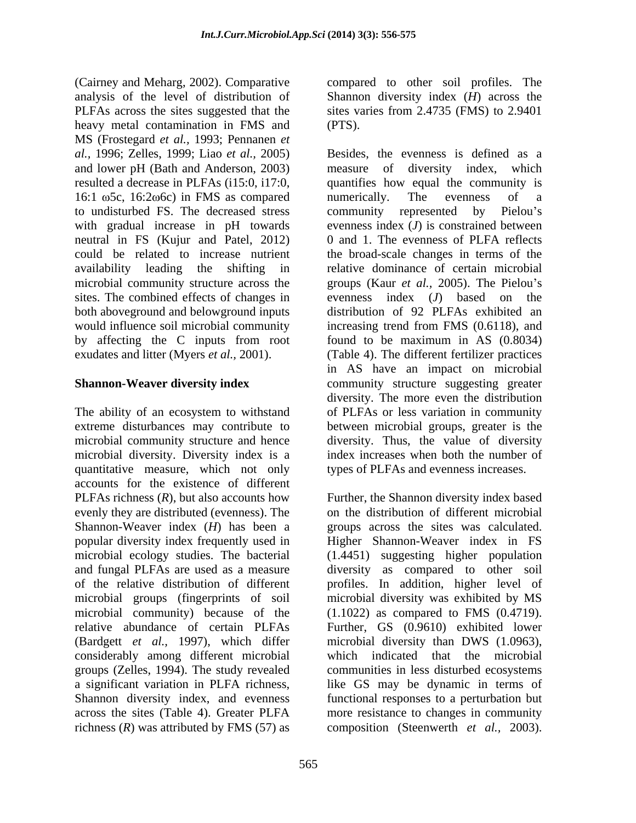(Cairney and Meharg, 2002). Comparative compared to other soil profiles. The analysis of the level of distribution of PLFAs across the sites suggested that the sites varies from 2.4735 (FMS) to 2.9401 heavy metal contamination in FMS and (PTS). MS (Frostegard *et al.,* 1993; Pennanen *et*  16:1  $\omega$ 5c, 16:2 $\omega$ 6c) in FMS as compared numerically. The evenness of a to undisturbed FS. The decreased stress community represented by Pielou's neutral in FS (Kujur and Patel, 2012) both aboveground and belowground inputs

The ability of an ecosystem to withstand of PLFAs or less variation in community extreme disturbances may contribute to between microbial groups, greater is the microbial community structure and hence diversity. Thus, the value of diversity microbial diversity. Diversity index is a quantitative measure, which not only accounts for the existence of different PLFAs richness (*R*), but also accounts how Further, the Shannon diversity index based evenly they are distributed (evenness). The Shannon-Weaver index (*H*) has been a groups across the sites was calculated. popular diversity index frequently used in Higher Shannon-Weaver index in FS microbial ecology studies. The bacterial (1.4451) suggesting higher population and fungal PLFAs are used as a measure diversity as compared to other soil of the relative distribution of different profiles. In addition, higher level of microbial groups (fingerprints of soil microbial community) because of the relative abundance of certain PLFAs Further, GS (0.9610) exhibited lower (Bardgett *et al.,* 1997), which differ microbial diversity than DWS (1.0963), considerably among different microbial groups (Zelles, 1994). The study revealed a significant variation in PLFA richness, like GS may be dynamic in terms of Shannon diversity index, and evenness functional responses to a perturbation but across the sites (Table 4). Greater PLFA more resistance to changes in community richness (*R*) was attributed by FMS (57) as composition (Steenwerth *et al.,* 2003).

Shannon diversity index (*H*) across the (PTS).

*al.,* 1996; Zelles, 1999; Liao *et al.,* 2005) Besides, the evenness is defined as a and lower pH (Bath and Anderson, 2003) measure of diversity index, which resulted a decrease in PLFAs (i15:0, i17:0, quantifies how equal the community is with gradual increase in pH towards evenness index (*J*) is constrained between could be related to increase nutrient the broad-scale changes in terms of the availability leading the shifting in relative dominance of certain microbial microbial community structure across the groups (Kaur *et al.,* 2005). The Pielou's sites. The combined effects of changes in evenness index (*J*) based on the would influence soil microbial community increasing trend from FMS (0.6118), and by affecting the C inputs from root found to be maximum in AS (0.8034) exudates and litter (Myers *et al.,* 2001). (Table 4). The different fertilizer practices **Shannon-Weaver diversity index** community structure suggesting greater numerically. The evenness of a community represented by Pielou's 0 and 1. The evenness of PLFA reflects distribution of 92 PLFAs exhibited an in AS have an impact on microbial diversity. The more even the distribution index increases when both the number of types of PLFAs and evenness increases.

> on the distribution of different microbial microbial diversity was exhibited by MS (1.1022) as compared to FMS (0.4719). which indicated that the microbial communities in less disturbed ecosystems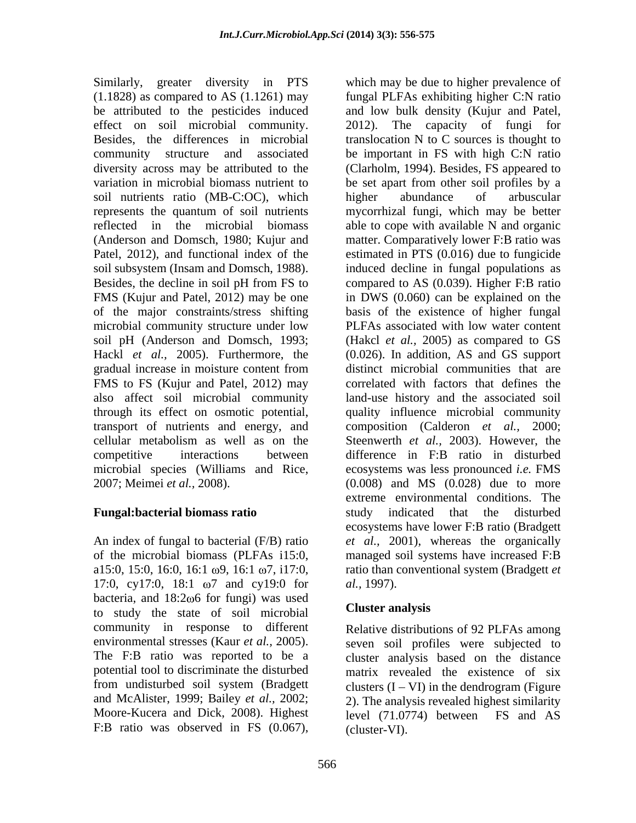Similarly, greater diversity in PTS which may be due to higher prevalence of be attributed to the pesticides induced soil nutrients ratio (MB-C:OC), which higher abundance of arbuscular microbial community structure under low soil pH (Anderson and Domsch, 1993; gradual increase in moisture content from

17:0, cy17:0, 18:1  $\omega$ 7 and cy19:0 for *al.*, 1997). bacteria, and  $18:2\omega 6$  for fungi) was used<br>to study the state of soil migrabial **Cluster analysis** to study the state of soil microbial community in response to different from undisturbed soil system (Bradgett

(1.1828) as compared to AS (1.1261) may fungal PLFAs exhibiting higher C:N ratio effect on soil microbial community. 2012). The capacity of fungi for Besides, the differences in microbial translocation N to C sources is thought to community structure and associated be important in FS with high C:N ratio diversity across may be attributed to the (Clarholm, 1994). Besides, FS appeared to variation in microbial biomass nutrient to be set apart from other soil profiles by a represents the quantum of soil nutrients mycorrhizal fungi, which may be better reflected in the microbial biomass able to cope with available N and organic (Anderson and Domsch, 1980; Kujur and matter. Comparatively lower F:B ratio was Patel, 2012), and functional index of the estimated in PTS (0.016) due to fungicide soil subsystem (Insam and Domsch, 1988). induced decline in fungal populations as Besides, the decline in soil pH from FS to compared to AS (0.039). Higher F:B ratio FMS (Kujur and Patel, 2012) may be one in DWS (0.060) can be explained on the of the major constraints/stress shifting basis of the existence of higher fungal Hackl *et al.,* 2005). Furthermore, the (0.026). In addition, AS and GS support FMS to FS (Kujur and Patel, 2012) may correlated with factors that defines the also affect soil microbial community land-use history and the associated soil through its effect on osmotic potential, quality influence microbial community transport of nutrients and energy, and composition (Calderon *et al.,* 2000; cellular metabolism as well as on the Steenwerth *et al.,* 2003). However, the competitive interactions between difference in F:B ratio in disturbed microbial species (Williams and Rice, ecosystems was less pronounced *i.e.* FMS 2007; Meimei *et al.,* 2008). (0.008) and MS (0.028) due to more **Fungal:bacterial biomass ratio** An index of fungal to bacterial (F/B) ratio *et al.,* 2001), whereas the organically of the microbial biomass (PLFAs i15:0, managed soil systems have increased F:B a15:0, 15:0, 16:0, 16:1 ω9, 16:1 ω7, i17:0, ratio than conventional system (Bradgett *et* Similarly, geoner diversion in PTS (which may be due to higher prevalence of the contributation in the previous and the basis in the control of the control of the control of the difference in matched in the distribution o and low bulk density (Kujur and Patel, higher abundance of arbuscular PLFAs associated with low water content (Hakcl *et al.,* 2005) as compared to GS distinct microbial communities that are extreme environmental conditions. The study indicated that the disturbed ecosystems have lower F:B ratio (Bradgett *al.,* 1997).

### **Cluster analysis**

environmental stresses (Kaur *et al.*, 2005). seven soil profiles were subjected to The F:B ratio was reported to be a cluster analysis based on the distance potential tool to discriminate the disturbed matrix revealed the existence of six and McAlister, 1999; Bailey *et al.,* 2002; 2). The analysis revealed highest similarity Moore-Kucera and Dick, 2008). Highest level (71.0774) between FS and AS Relative distributions of 92 PLFAs among clusters  $(I - VI)$  in the dendrogram (Figure) (cluster-VI).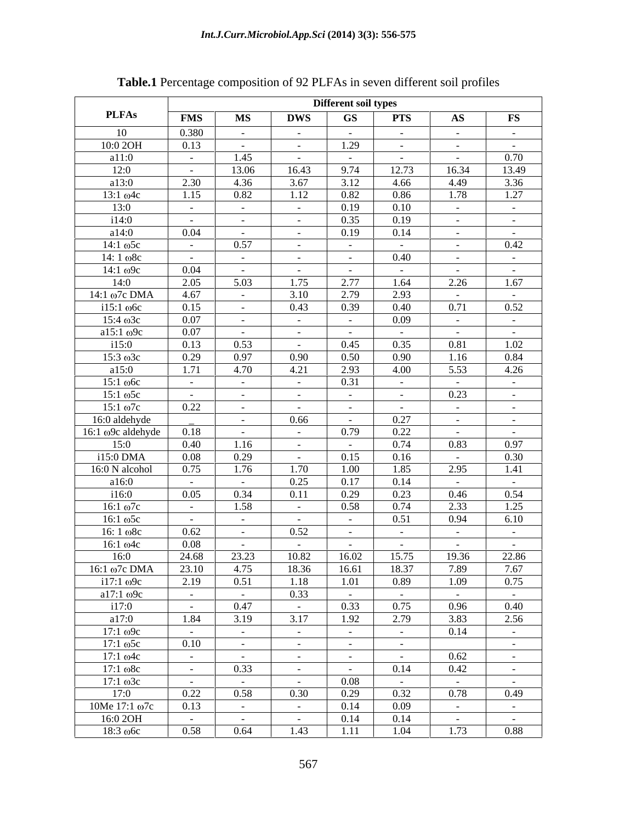|                    |                         |                |                         | Different soil types |                          |                        |                      |
|--------------------|-------------------------|----------------|-------------------------|----------------------|--------------------------|------------------------|----------------------|
| <b>PLFAs</b>       | <b>FMS</b>              | MS             | <b>DWS</b>              | GS                   | <b>PTS</b>               | $\mathbf{A}\mathbf{S}$ | $\mathbf{FS}$        |
| 10                 | 0.380                   | $\sim$         | $\sim 1000$ m $^{-1}$   | $\sim$ $-$           | $\sim 100$               | $\sim$ $ \sim$         | $\sim 10^{-10}$      |
| 10:0 2OH           | 0.13                    | $\sim 100$     | $\sim 1000$ m $^{-1}$   | 1.29                 | $\sim 100$ m $^{-1}$     | $\sim 100$ m $^{-1}$   | $\sim 10^{-10}$      |
| a11:0              | $\sim 100$              | 1.45           | $\sim 100$ km s $^{-1}$ | $\sim 10^{-11}$      | $\sim 100$ m $^{-1}$     | <b>Contract</b>        | 0.70                 |
| 12:0               | $\sim 100$ km s $^{-1}$ | 13.06          | 16.43                   | 9.74                 | 12.73                    | 16.34                  | 13.49                |
| a13:0              | 2.30                    | 4.36           | 3.67                    | 3.12                 | 4.66                     | 4.49                   | 3.36                 |
| $13:1 \omega 4c$   | 1.15                    | 0.82           | 1.12                    | 0.82                 | 0.86                     | 1.78                   | 1.27                 |
| 13:0               | $\sim 100$ km s $^{-1}$ | $\sim$         | $\sim 100$ m $^{-1}$    | 0.19                 | 0.10                     | $\sim 100$ m $^{-1}$   | $\sim 10^{-11}$      |
| i14:0              | $\sim 100$ km s $^{-1}$ | $\sim$ $-$     | $\sim 100$ m $^{-1}$    | 0.35                 | 0.19                     | $\sim 100$ m $^{-1}$   | $\sim 10^{-10}$      |
| a14:0              | 0.04                    | $\sim$         | $\sim 100$ m $^{-1}$    | 0.19                 | 0.14                     | $\sim 100$             | $\sim 10^{-10}$      |
| $14:1 \omega$ 5c   | $\sim 100$              | 0.57           | $\sim 10^{-10}$         | $\sim$ $-$           | $\sim 10^{-10}$          |                        | 0.42                 |
|                    |                         |                |                         |                      | 0.40                     | $\sim$ $ \sim$         |                      |
| $14:1 \omega$ 8c   | $\sim 100$ km s $^{-1}$ | $\sim$         | $\sim 100$              | $\sim 100$           |                          | $\sim 100$ m $^{-1}$   | $\sim 10^{-10}$      |
| $14:1 \omega$ 9c   | 0.04                    | $\sim 100$     | $\sim 1000$ m $^{-1}$   | $\sim 10^{-11}$      | $\sim 100$ m $^{-1}$     | $\sim 100$ m $^{-1}$   | $\sim 10^{-10}$      |
| 14:0               | 2.05                    | 5.03           | 1.75                    | 2.77                 | 1.64                     | 2.26                   | 1.67                 |
| 14:1 ω7c DMA       | 4.67                    | $\sim$         | 3.10                    | 2.79                 | 2.93                     | $\sim 100$             | $\sim 10^{-11}$      |
| $i15:1$ ω6c        | 0.15                    | $\sim$         | 0.43                    | 0.39                 | 0.40                     | 0.71                   | 0.52                 |
| $15:4 \omega 3c$   | 0.07                    | $\sim$ $-$     | $\sim 100$ m $^{-1}$    | $\sim 100$           | 0.09                     | $\sim 100$ m $^{-1}$   | $\sim 10^{-10}$      |
| a $15:1 \omega$ 9c | 0.07                    | $\sim$ $ \sim$ | $\sim 100$ m $^{-1}$    | $\sim 10^{-11}$      | <b>Contract Contract</b> | $\sim 100$ m $^{-1}$   | $\sim 10^{-10}$      |
| 115:0              | 0.13                    | 0.53           | $\sim 100$ km s $^{-1}$ | 0.45                 | 0.35                     | 0.81                   | 1.02                 |
| $15:3 \omega 3c$   | 0.29                    | 0.97           | 0.90                    | 0.50                 | 0.90                     | 1.16                   | 0.84                 |
| a15:0              | 1.71                    | 4.70           | 4.21                    | 2.93                 | 4.00                     | 5.53                   | 4.26                 |
| $15:1 \omega$ 6c   | $\sim 100$ km s $^{-1}$ | $\sim$         | $\sim 100$ m $^{-1}$    | 0.31                 |                          | $\sim$ 100 $\sim$      | $\sim 10^{-10}$      |
| $15:1 \omega$ 5c   | $\sim 100$ km s $^{-1}$ | $\sim 100$     | $\sim 100$ km s $^{-1}$ | $\sim 10^{-11}$      |                          | 0.23                   | $\sim 10^{-10}$      |
| $15:1 \omega 7c$   | 0.22                    | $\sim$ $-$     | $\sim 100$ km s $^{-1}$ | $\sim 100$           | $\sim 1000$ m $^{-1}$    | $\sim$ $ \sim$         | $\sim 10^{-10}$      |
| 16:0 aldehyde      |                         | $\sim$ $-$     | 0.66                    | $\sim 100$           | 0.27                     | $\sim$ $-$             | $\sim 10^{-10}$      |
| 16:1 ω9c aldehyde  | 0.18                    | $\sim$         | $\sim 10^{-10}$         | 0.79                 | 0.22                     | $\sim 100$             | $\sim 10^{-11}$      |
| 15:0               | 0.40                    | 1.16           | $\sim 100$ km s $^{-1}$ | $\sim 100$           | 0.74                     | 0.83                   | 0.97                 |
| i15:0 DMA          | 0.08                    | 0.29           | $\sim 100$ km s $^{-1}$ | 0.15                 | 0.16                     | <b>Contract</b>        | 0.30                 |
| 16:0 N alcohol     | 0.75                    | 1.76           | 1.70                    | 1.00                 | 1.85                     | 2.95                   | 1.41                 |
| a16:0              | $\sim 100$ km s $^{-1}$ | $\sim 100$     | 0.25                    | 0.17                 | 0.14                     | $\sim 100$             | $\sim$ $-$           |
| i16:0              | 0.05                    | 0.34           | 0.11                    | 0.29                 | 0.23                     | 0.46                   | 0.54                 |
| $16:1 \omega$ 7c   | $\sim 100$              | 1.58           | $\sim 10^{-10}$         | 0.58                 | 0.74                     | 2.33                   | 1.25                 |
| $16:1\omega$ 5c    | $\sim 100$ m $^{-1}$    | $\sim$         | $\sim 100$ m $^{-1}$    | $\sim 100$           | 0.51                     | 0.94                   | 6.10                 |
| $16:1 \omega$ 8c   | 0.62                    | $\sim$         | 0.52                    | $\sim$ $-$           | $\sim 100$ m $^{-1}$     | $\sim$ $ \sim$         | $\sim$ $-$           |
| $16:1 \omega 4c$   | 0.08                    | $\sim$         | $\sim$ $ -$             | $\sim 100$           | $\sim$ $-$               | $\sim 100$             | $\sim 10^{-11}$      |
| 16:0               | 24.68                   | 23.23          | 10.82                   | 16.02                | 15.75                    | 19.36                  | 22.86                |
| 16:1 ω7c DMA       | 23.10                   | 4.75           | 18.36                   | 16.61                | 18.37                    | 7.89                   | 7.67                 |
| $i17:1 \omega$ 9c  | 2.19                    | 0.51           | 1.18                    | 1.01                 | 0.89                     | 1.09                   | 0.75                 |
|                    |                         |                |                         |                      |                          |                        |                      |
| a17:1 $\omega$ 9c  | $\sim 100$              | $\sim$ $-$     | 0.33                    | $\sim 100$           | $\sim 100$ m $^{-1}$     | $\sim 100$             | $\sim$ $  \sim$      |
| i17:0              | $\sim 100$ km s $^{-1}$ | 0.47           | $\sim 100$ km s $^{-1}$ | 0.33                 | 0.75                     | 0.96                   | 0.40                 |
| a17:0              | 1.84                    | 3.19           | 3.17                    | 1.92                 | 2.79                     | 3.83                   | 2.56                 |
| $17:1 \omega$ 9c   | $\sim 100$ m $^{-1}$    | $\sim$         | $\sim 100$ m $^{-1}$    | $\sim 100$           | $\sim 100$ m $^{-1}$     | 0.14                   | $\sim 10^{-10}$      |
| $17:1 \omega$ 5c   | 0.10                    | $\sim$         | $\sim 1000$ m $^{-1}$   | $\sim 100$           | $\sim 100$ m $^{-1}$     |                        | $\sim 100$ m $^{-1}$ |
| $17:1 \omega 4c$   | $\sim 100$ m $^{-1}$    | $\sim$         | $\sim 1000$ m $^{-1}$   | $\sim 100$           | $\sim 100$ m $^{-1}$     | 0.62                   | $\sim 10^{-10}$      |
| $17:1 \omega$ 8c   | $\sim 100$ km s $^{-1}$ | 0.33           | $\sim$ $ -$             | $\sim 100$           | 0.14                     | 0.42                   | $\sim 10^{-10}$      |
| $17:1 \omega$ 3c   | $\sim 100$              | $\sim$         | $\sim 100$              | 0.08                 |                          | $\sim 100$             | $\sim 10^{-10}$      |
| 17:0               | 0.22                    | 0.58           | 0.30                    | 0.29                 | 0.32                     | 0.78                   | 0.49                 |
| 10Me 17:1 ω7c      | 0.13                    | $\sim$         | $\sim 100$ m $^{-1}$    | 0.14                 | 0.09                     | $\sim 100$             | $\sim 10^{-10}$      |
| 16:0 2OH           | $\sim 100$              | $\sim$         | $\sim 100$ m $^{-1}$    | 0.14                 | 0.14                     | $\sim 100$ m $^{-1}$   | $\sim 10^{-10}$      |
| $18:3 \omega 6c$   | 0.58                    | 0.64           | 1.43                    | 1.11                 | 1.04                     | 1.73                   | 0.88                 |
|                    |                         |                |                         |                      |                          |                        |                      |

# **Table.1** Percentage composition of 92 PLFAs in seven different soil profiles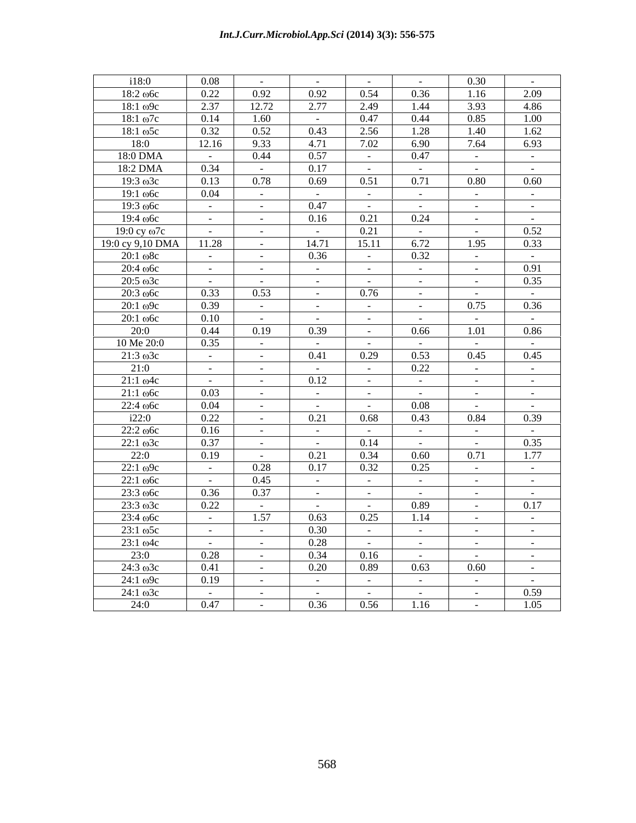| i18:0                 | 0.08                 | $\sim 100$ m $^{-1}$ | $\sim 100$ m $^{-1}$         | $\sim 100$ m $^{-1}$ | $\sim$ $ \sim$         | 0.30                 | $\sim 100$      |
|-----------------------|----------------------|----------------------|------------------------------|----------------------|------------------------|----------------------|-----------------|
| $18:2 \omega$         | 0.22                 | 0.92                 | 0.92                         | 0.54                 | 0.36                   | 1.16                 | 2.09            |
| $18:1 \omega$ 9c      | 2.37                 | 12.72                | 2.77                         | 2.49                 | 1.44                   | 3.93                 | 4.86            |
| $18:1 \omega 7c$      | 0.14                 | 1.60                 | $\sim 100$                   | 0.47                 | 0.44                   | 0.85                 | 1.00            |
| $18:1\omega$ 5c       | 0.32                 | 0.52                 | 0.43                         | 2.56                 | 1.28                   | 1.40                 | 1.62            |
| 18:0                  | 12.16                | 9.33                 | 4.71                         | 7.02                 | 6.90                   | 7.64                 | 6.93            |
| 18:0 DMA              | $\sim 100$           | 0.44                 | 0.57                         | $\sim 100$           | 0.47                   | $\sim 100$           | $\sim 100$      |
| 18:2 DMA              | 0.34                 | $\sim 10^{-1}$       | 0.17                         | $\sim$ $ \sim$       | $\sim$ $-$             | $\sim$ $-$           | $\sim$ $-$      |
| $19:3 \omega 3c$      | 0.13                 | 0.78                 | 0.69                         | 0.51                 | 0.71                   | 0.80                 | 0.60            |
| $19:1 \omega 6c$      | 0.04                 | $\sim 100$           | $\sim 100$                   | $\sim$ $ \sim$       | $\sim 10^{-11}$        | $\sim$ $  \sim$      | $\sim$ $ \sim$  |
| $19:3 \omega$         | $\sim 100$           | $\sim$ $-$           | 0.47                         | $\sim$ $ \sim$       | $\sim$ $-$             | $\sim$ $-$           | $\sim$ $-$      |
| $19:4 \omega 6c$      | $\sim 10^{-10}$      | $\sim$ $ \sim$       | 0.16                         | 0.21                 | 0.24                   | $\sim$ $ \sim$       | $\sim$ $-$      |
| $19:0$ cy $\omega$ 7c | $\sim 100$           | $\sim$               | $\sim$ $-$                   | 0.21                 | $\sim 10^{-11}$        | $\sim 100$           | 0.52            |
| 19:0 cy 9,10 DMA      | 11.28                | $\sim 100$           | 14.71                        | 15.11                | 6.72                   | 1.95                 | 0.33            |
| $20:1 \omega$ 8c      | $\sim 100$           | $\sim$               | 0.36                         | $\alpha$ = $\alpha$  | 0.32                   | $\sim$ $-$           | $\sim 10^{-10}$ |
| $20:4 \omega$         | $\sim 10^{-10}$      | $\sim$               | $\sim$ $ -$                  | $\sim$ $-$           | $\sim$ $-$             | $\sim$ $-$           | 0.91            |
| $20:5 \omega 3c$      | $\sim 100$           | $\sim 10^{-11}$      | $\sim$ $-$                   | $\sim 10^{-1}$       | $\sim 10^{-11}$        | $\sim 100$ m $^{-1}$ | 0.35            |
| $20:3 \omega$         | 0.33                 | 0.53                 | $\sim 100$ m $^{-1}$         | 0.76                 | $\sim 10^{-10}$        | $\sim 100$           | $\sim 10^{-10}$ |
| $20:1 \omega$ 9c      | 0.39                 | $\sim$ $-$           | $\sim 100$                   | $\sim 100$           | $\sim 10^{-11}$        | 0.75                 | 0.36            |
| $20:1\omega$          | 0.10                 | $\sim 100$           | $\sim 100$                   | $\sim$ $ \sim$       | $\sim 100$             | $\sim$               | $\sim 10^{-11}$ |
| 20:0                  | 0.44                 | 0.19                 | 0.39                         | $\sim 100$           | 0.66                   | 1.01                 | 0.86            |
| 10 Me 20:0            | 0.35                 | $\sim 100$           | $\sim 100$                   | $\sim 100$           | $\sim 10^{-11}$        | $\sim 100$           | $\sim 10^{-11}$ |
| $21:3 \omega 3c$      | $\sim 100$           | $\sim$ $-$           | 0.41                         | 0.29                 | 0.53                   | 0.45                 | 0.45            |
| 21:0                  | $\sim 100$           | $\sim$               | $\sim$ $-$                   | $\sim$ $-$           | 0.22                   | $\sim$ $-$           | $\sim$ $-$      |
| $21:1 \omega 4c$      | $\sim 100$           | $\sim$ $-$           | 0.12                         | $\sim$ $ \sim$       | $\sim 10^{-11}$        | $\sim$ $-$           | $\sim$ $-$      |
| $21:1 \omega 6c$      | 0.03                 | $\sim$ $-$           | $\sim 10^{-10}$              | $\sim 100$           | $\sim$ $ \sim$         | $\sim$ $-$           | $\sim$ $-$      |
| $22:4 \omega 6c$      | 0.04                 | $\sim 100$           | $\sim 100$ m $^{-1}$         | $\sim 100$           | 0.08                   | $\sim 100$           | $\sim$ $ \sim$  |
| i22:0                 | 0.22                 | $\sim 10^{-1}$       | 0.21                         | 0.68                 | 0.43                   | 0.84                 | 0.39            |
| $22:2 \omega 6c$      | 0.16                 | $\sim$               | $\sim$ $-$                   | $\sim 100$           | $\sim 10^{-10}$        | $\sim 100$ m $^{-1}$ | $\sim$ $-$      |
| $22:1 \omega 3c$      | 0.37                 | $\sim$ $-$           | $\sim$ $ \sim$               | 0.14                 | $\sim 10^{-11}$        | $\sim 10^{-11}$      | 0.35            |
| 22:0                  | 0.19                 | $\sim 100$           | 0.21                         | 0.34                 | 0.60                   | 0.71                 | 1.77            |
| $22:1 \omega$ 9c      | $\sim 100$           | 0.28                 | 0.17                         | 0.32                 | 0.25                   | $\sim 10^{-10}$      | $\sim 10^{-10}$ |
| $22:1 \omega 6c$      | $\sim 100$ m $^{-1}$ | 0.45                 | $\sim 100$                   | $\sim 100$           | $\sim 10^{-10}$        | $\sim$ $-$           | $\sim 10^{-10}$ |
| $23:3$ $\omega$ 6c    | 0.36                 | 0.37                 | $\sim$ $-$                   | $\sim 100$           | $\sim$ $ \sim$         | $\sim 100$           | $\sim 10^{-11}$ |
| $23:3 \omega 3c$      | 0.22                 | $\sim 100$           | $\sim$ $ -$                  | $\sim$ $-$           | 0.89                   | $\sim 100$           | 0.17            |
| $23:4 \omega 6c$      | $\sim 100$           | 1.57                 | 0.63                         | 0.25                 | 1.14                   | $\sim$ $-$           | $\sim$ $-$      |
| $23:1 \omega$ 5c      | $\sim 10^{-10}$      | $\sim 10^{-1}$       | 0.30                         | $\sim 100$           | $\sim$ $-$             | $\sim$ $-$           | $\sim$ $-$      |
| $23:1 \omega 4c$      | $\sim 100$           | $\sim$ $ \sim$       | 0.28                         | $\sim$ $ \sim$       | $\sim$ $ \sim$         | $\sim$ $ \sim$       | $\sim$ $ \sim$  |
| 23:0                  | 0.28                 | $\sim$ $ \sim$       | 0.34                         | 0.16                 | $\sim$ $-$             | $\sim 100$           | $\sim$ $ \sim$  |
| $24:3 \omega 3c$      | 0.41                 | $\sim 100$           | 0.20                         | 0.89                 | 0.63                   | 0.60                 | $\sim$ $-$      |
| $24:1 \omega$ 9c      | 0.19                 |                      | $\sim 100$                   | $\sim 100$           | $\sim$ $ \sim$         | $\sim 100$           | $\sim 100$      |
| $24:1 \omega 3c$      |                      | $\sim$ $-$           |                              |                      |                        |                      | 0.59            |
| 24:0                  | $\sim$ $-$<br>0.47   | $\sim$ $-$           | $\sim 100$ m $^{-1}$<br>0.36 | $\sim 100$<br>0.56   | $\sim$ $ \sim$<br>1.16 | $\sim 100$           | 1.05            |
|                       |                      | $\sim$               |                              |                      |                        | $\sim$ $ \sim$       |                 |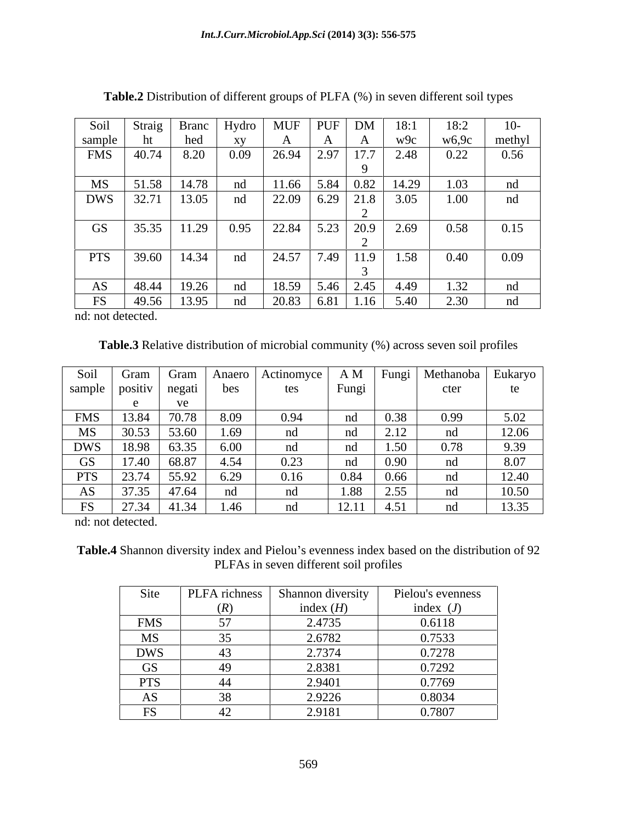|                                                                                           | Soil Straig |       | Branc   Hydro |       | $\vert$ MUF $\vert$ PUF $\vert$ DM $\vert$ 18:1                                             |                                           | 18:2                                                          | $10-$ |
|-------------------------------------------------------------------------------------------|-------------|-------|---------------|-------|---------------------------------------------------------------------------------------------|-------------------------------------------|---------------------------------------------------------------|-------|
|                                                                                           |             | hed   |               |       |                                                                                             | w9c                                       | $\begin{array}{c c} \text{w6,9c} & \text{methyl} \end{array}$ |       |
| $\begin{array}{ l c c c }\n\hline sample & ht \\ \hline FMS & 40.74 \\ \hline\end{array}$ |             | 8.20  | 0.09          |       | $26.94$ 2.97 17.7 2.48                                                                      |                                           | 0.22                                                          | 0.56  |
| MS                                                                                        | 51.58       | 14.78 |               | 11.66 |                                                                                             | $\vert 5.84 \vert 0.82 \vert 14.29 \vert$ | 1.03                                                          | nd    |
| DWS 32.71                                                                                 |             | 13.05 | nd            |       | $\begin{array}{ c c c c c c c c c } \hline 22.09 & 6.29 & 21.8 & 3.05 \ \hline \end{array}$ |                                           | 1.00                                                          | nd    |
|                                                                                           |             |       |               |       |                                                                                             |                                           |                                                               |       |
| GS                                                                                        | 35.35       |       | $11.29$ 0.95  |       |                                                                                             | 22.84   5.23   20.9   2.69                | 0.58                                                          | 0.15  |
|                                                                                           | PTS 39.60   | 14.34 |               | 24.57 |                                                                                             | $7.49$ 11.9 1.58                          |                                                               |       |
|                                                                                           |             |       | nd            |       |                                                                                             |                                           | 0.40                                                          | 0.09  |
| AS                                                                                        | 48.44       | 19.26 |               |       | 18.59   5.46   2.45   4.49                                                                  |                                           | 1.32                                                          | nd    |
|                                                                                           | FS   49.56  | 13.95 | nd            |       | $\begin{array}{ c c c c c c c c c } \hline 20.83 & 6.81 & 1.16 & 5.40 \hline \end{array}$   |                                           | 2.30                                                          | nd    |

**Table.2** Distribution of different groups of PLFA (%) in seven different soil types

nd: not detected.

**Table.3** Relative distribution of microbial community (%) across seven soil profiles

| Soil       | Gram    | Gram             | Anaero | Actinomyce | A M            | Fungi       | Methanoba | Eukaryo |
|------------|---------|------------------|--------|------------|----------------|-------------|-----------|---------|
| sample     | positiv | negati           | bes    | tes        | Fungi          |             | cter      | te      |
|            |         | $T\Delta$<br>v C |        |            |                |             |           |         |
| <b>FMS</b> | 13.84   | 70.78            | 8.09   | 0.94       | nd             | 0.38        | 0.99      | 5.02    |
| MS         | 30.53   | 53.60            | 1.69   | nd         | nd             | 2.12        | n⊿        | 12.06   |
| <b>DWS</b> | 18.98   | 63.35            | 6.00   | nd         | n <sub>c</sub> | .50<br>1.JU | 0.78      | 9.39    |
| <b>GS</b>  | 17.40   | 68.87            | 4.54   | 0.23       | nd             | 0.90        | nd.       | 8.07    |
| <b>PTS</b> | 23.74   | 55.92            | 6.29   | 0.16       | 0.84           | 0.66        | n₫        | 12.40   |
| AS         | 37.35   | 47.64            | nd     |            | 1.88           | 2.55        | nd.       | 10.50   |
| <b>FS</b>  | 27.34   | 41.34            | 1.46   |            | 12.11          | 4.51        | n₫        | 13.35   |

nd: not detected.

Table.4 Shannon diversity index and Pielou's evenness index based on the distribution of 92 PLFAs in seven different soil profiles

| Site       | PLFA richness   | Shannon diversity | Pielou's evenness |
|------------|-----------------|-------------------|-------------------|
|            | (R)             | index $(H)$       | index $(J)$       |
| <b>FMS</b> |                 | 2.4735            | 0.6118            |
| MS         |                 | 2.6782            | 0.7533            |
| <b>DWS</b> |                 | 2.7374            | 0.7278            |
| <b>GS</b>  |                 | 2.8381            | 0.7292            |
| <b>PTS</b> |                 | 2.9401            | 0.7769            |
| AS         | <b>^</b><br>- - | 2.9226            | 0.8034            |
| LУ         |                 | 2.9181            | 0.7807            |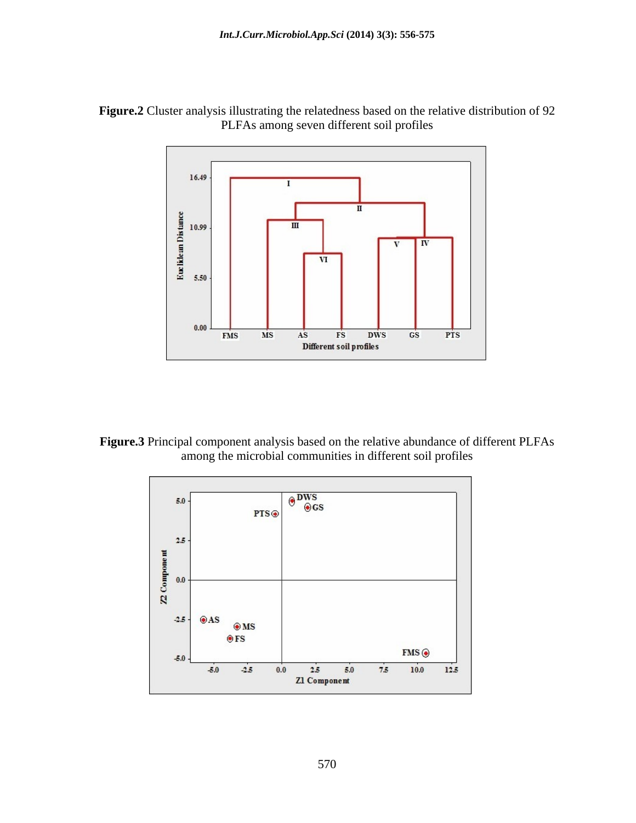



**Figure.3** Principal component analysis based on the relative abundance of different PLFAs among the microbial communities in different soil profiles

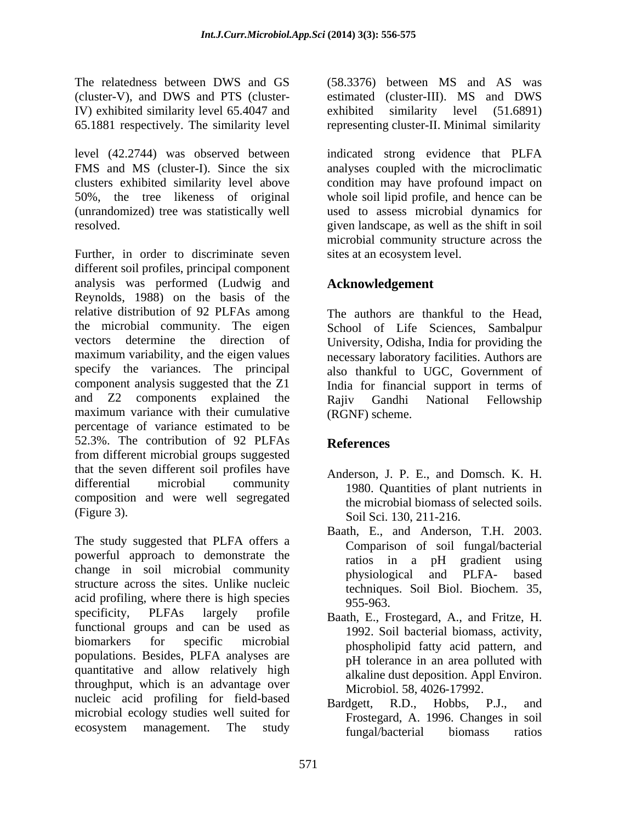IV) exhibited similarity level 65.4047 and

level (42.2744) was observed between indicated strong evidence that PLFA FMS and MS (cluster-I). Since the six analyses coupled with the microclimatic clusters exhibited similarity level above condition may have profound impact on 50%, the tree likeness of original whole soil lipid profile, and hence can be (unrandomized) tree was statistically well used to assess microbial dynamics for resolved. given landscape, as well as the shift in soil

Further, in order to discriminate seven different soil profiles, principal component analysis was performed (Ludwig and Reynolds, 1988) on the basis of the relative distribution of 92 PLFAs among The authors are thankful to the Head, the microbial community. The eigen School of Life Sciences, Sambalpur vectors determine the direction of University, Odisha, India for providing the maximum variability, and the eigen values specify the variances. The principal also thankful to UGC, Government of component analysis suggested that the Z1 India for financial support in terms of and Z2 components explained the Rajiv Gandhi National Fellowship maximum variance with their cumulative percentage of variance estimated to be 52.3%. The contribution of 92 PLFAs from different microbial groups suggested that the seven different soil profiles have differential microbial community 1980. Quantities of plant nutrients in composition and were well segregated

The study suggested that PLFA offers a powerful approach to demonstrate the ratios in a pH gradient using change in soil microbial community<br>physiological and PLFA- based structure across the sites. Unlike nucleic  $\frac{1}{2}$  acid profiling, where there is high species  $\frac{1}{255-963}$ . specificity, PLFAs largely profile Baath, E., Frostegard, A., and Fritze, H. functional groups and can be used as biomarkers for specific microbial phospholipid fatty acid pattern, and populations. Besides, PLFA analyses are quantitative and allow relatively high throughput, which is an advantage over nucleic acid profiling for field-based<br>Bardgett, R.D., Hobbs, P.J., and microbial ecology studies well suited for

The relatedness between DWS and GS (58.3376) between MS and AS was (cluster-V), and DWS and PTS (cluster-estimated (cluster-III). MS and DWS 65.1881 respectively. The similarity level representing cluster-II. Minimal similarity similarity level  $(51.6891)$ 

> microbial community structure across the sites at an ecosystem level.

# **Acknowledgement**

necessary laboratory facilities. Authors are Rajiv Gandhi National Fellowship (RGNF) scheme.

# **References**

- (Figure 3). Soil Sci. 130, 211-216. Anderson, J. P. E., and Domsch. K. H. the microbial biomass of selected soils.
	- Baath, E., and Anderson, T.H. 2003. Comparison of soil fungal/bacterial ratios in a pH gradient using physiological and PLFA- based techniques. Soil Biol. Biochem. 35, 955-963.
	- 1992. Soil bacterial biomass, activity, pH tolerance in an area polluted with alkaline dust deposition. Appl Environ. Microbiol. 58, 4026-17992.
- ecosystem management. The study fungal/hacterial hiomass ratios Bardgett, R.D., Hobbs, P.J., and Frostegard, A. 1996. Changes in soil fungal/bacterial biomass ratios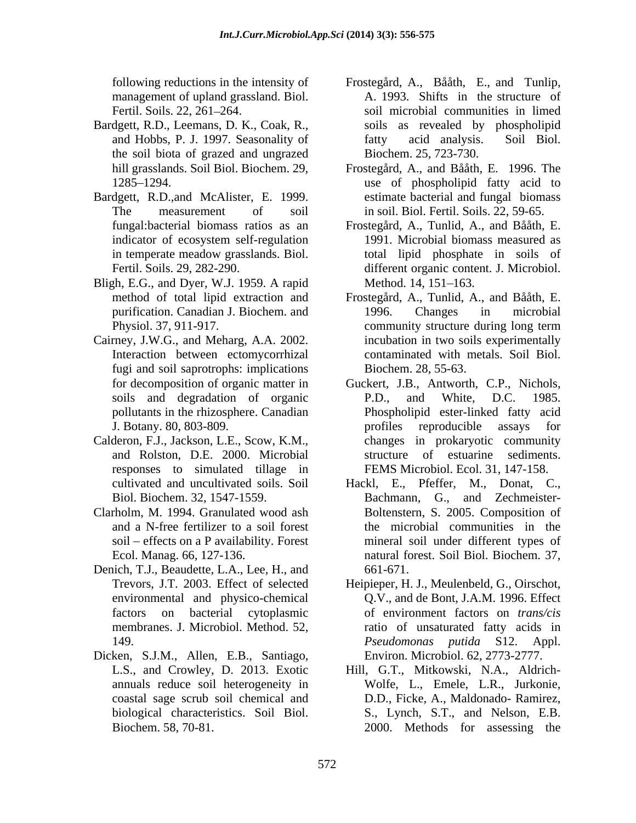management of upland grassland. Biol.

- Bardgett, R.D., Leemans, D. K., Coak, R., the soil biota of grazed and ungrazed
- Bardgett, R.D.,and McAlister, E. 1999. indicator of ecosystem self-regulation
- Bligh, E.G., and Dyer, W.J. 1959. A rapid
- Cairney, J.W.G., and Meharg, A.A. 2002. Interaction between ectomycorrhizal fugi and soil saprotrophs: implications
- Calderon, F.J., Jackson, L.E., Scow, K.M., and Rolston, D.E. 2000. Microbial responses to simulated tillage in
- Clarholm, M. 1994. Granulated wood ash soil – effects on a P availability. Forest
- Denich, T.J., Beaudette, L.A., Lee, H., and  $661-671$ . environmental and physico-chemical
- Dicken, S.J.M., Allen, E.B., Santiago, annuals reduce soil heterogeneity in
- following reductions in the intensity of Frostegård, A., Bååth, E., and Tunlip, Fertil. Soils. 22, 261–264. Soil microbial communities in limed and Hobbs, P. J. 1997. Seasonality of A. 1993. Shifts in the structure of soils as revealed by phospholipid fatty acid analysis. Soil Biol. Biochem. 25, 723-730.
- hill grasslands. Soil Biol. Biochem. 29, Frostegård, A., and Bååth, E. 1996. The 1285 1294. use of phospholipid fatty acid to The measurement of soil in soil. Biol. Fertil. Soils. 22, 59-65. estimate bacterial and fungal biomass
- fungal:bacterial biomass ratios as an Frostegård, A., Tunlid, A., and Bååth, E. in temperate meadow grasslands. Biol. Fertil. Soils. 29, 282-290. different organic content. J. Microbiol. 1991. Microbial biomass measured as total lipid phosphate in soils of Method. 14, 151–163.
- method of total lipid extraction and Frostegård, A., Tunlid, A., and Bååth, E. purification. Canadian J. Biochem. and Physiol. 37, 911-917. community structure during long term 1996. Changes in microbial community structure during long term incubation in two soils experimentally contaminated with metals. Soil Biol. Biochem. 28, 55-63.
- for decomposition of organic matter in Guckert, J.B., Antworth, C.P., Nichols, soils and degradation of organic P.D., and White, D.C. 1985. pollutants in the rhizosphere. Canadian Phospholipid ester-linked fatty acid J. Botany. 80, 803-809. P.D., and White, D.C. 1985. profiles reproducible assays for changes in prokaryotic community of estuarine sediments. FEMS Microbiol. Ecol. 31, 147-158.
- cultivated and uncultivated soils. Soil Hackl, E., Pfeffer, M., Donat, C., Biol. Biochem. 32, 1547-1559. Bachmann, G., and Zechmeister and a N-free fertilizer to a soil forest the microbial communities in the Ecol. Manag. 66, 127-136. natural forest. Soil Biol. Biochem. 37, Boltenstern, S. 2005. Composition of mineral soil under different types of 661-671.
- Trevors, J.T. 2003. Effect of selected Heipieper, H. J., Meulenbeld, G., Oirschot, factors on bacterial cytoplasmic of environment factors on *trans/cis* membranes. J. Microbiol. Method. 52, ratio of unsaturated fatty acids in 149. Appl. *Pseudomonas putida* S12. Appl. Q.V., and de Bont, J.A.M. 1996. Effect *Pseudomonas putida* S12. Appl. Environ. Microbiol. 62, 2773-2777.
- L.S., and Crowley, D. 2013. Exotic Hill, G.T., Mitkowski, N.A., Aldrich coastal sage scrub soil chemical and D.D., Ficke, A., Maldonado- Ramirez, biological characteristics. Soil Biol. S., Lynch, S.T., and Nelson, E.B. Biochem. 58, 70-81. 2000. Methods for assessing theWolfe, L., Emele, L.R., Jurkonie,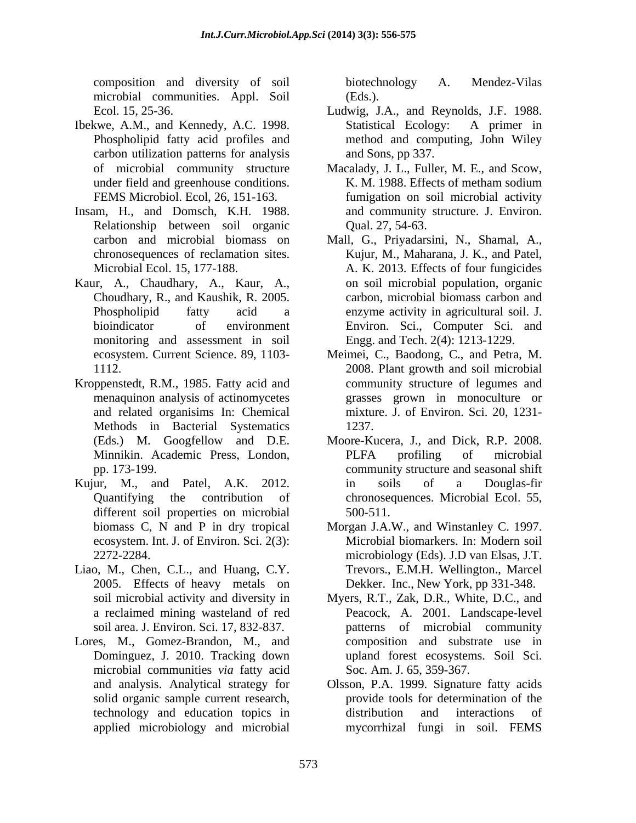composition and diversity of soil microbial communities. Appl. Soil

- Ibekwe, A.M., and Kennedy, A.C. 1998. carbon utilization patterns for analysis
- Insam, H., and Domsch, K.H. 1988. Relationship between soil organic
- Kaur, A., Chaudhary, A., Kaur, A., monitoring and assessment in soil
- Kroppenstedt, R.M., 1985. Fatty acid and menaquinon analysis of actinomycetes Methods in Bacterial Systematics 1237.
- Kujur, M., and Patel, A.K. 2012. different soil properties on microbial 500-511. biomass C, N and P in dry tropical ecosystem. Int. J. of Environ. Sci. 2(3):
- Liao, M., Chen, C.L., and Huang, C.Y. 2005. Effects of heavy metals on
- Lores, M., Gomez-Brandon, M., and microbial communities *via* fatty acid applied microbiology and microbial

biotechnology A. Mendez-Vilas (Eds.).

- Ecol. 15, 25-36. Ludwig, J.A., and Reynolds, J.F. 1988. Phospholipid fatty acid profiles and method and computing, John Wiley Statistical Ecology: A primer in and Sons, pp 337.
- of microbial community structure Macalady, J. L., Fuller, M. E., and Scow, under field and greenhouse conditions. K. M. 1988. Effects of metham sodium FEMS Microbiol. Ecol, 26, 151-163. fumigation on soil microbial activity and community structure. J. Environ. Qual. 27, 54-63.
- carbon and microbial biomass on Mall, G., Priyadarsini, N., Shamal, A., chronosequences of reclamation sites. Kujur, M., Maharana, J. K., and Patel, Microbial Ecol. 15, 177-188. A. K. 2013. Effects of four fungicides Choudhary, R., and Kaushik, R. 2005. carbon, microbial biomass carbon and Phospholipid fatty acid a enzyme activity in agricultural soil. J. bioindicator of environment Environ. Sci., Computer Sci. and on soil microbial population, organic Engg. and Tech. 2(4): 1213-1229.
- ecosystem. Current Science. 89, 1103- Meimei, C., Baodong, C., and Petra, M. 1112. 2008. Plant growth and soil microbial and related organisims In: Chemical mixture. J. of Environ. Sci. 20,1231 community structure of legumes and grasses grown in monoculture or 1237.
- (Eds.) M. Googfellow and D.E. Moore-Kucera, J., and Dick, R.P. 2008. Minnikin. Academic Press, London, pp. 173-199. community structure and seasonal shift Quantifying the contribution of chronosequences. Microbial Ecol. 55, PLFA profiling of microbial in soils of a Douglas-fir 500-511.
- 2272-2284. microbiology (Eds). J.D van Elsas, J.T. Morgan J.A.W., and Winstanley C. 1997. Microbial biomarkers. In: Modern soil Trevors., E.M.H. Wellington., Marcel Dekker. Inc., New York, pp 331-348.
- soil microbial activity and diversity in Myers, R.T., Zak, D.R., White, D.C., and a reclaimed mining wasteland of red Peacock, A. 2001. Landscape-level soil area. J. Environ. Sci. 17, 832-837. patterns of microbial community Dominguez, J. 2010. Tracking down upland forest ecosystems. Soil Sci. composition and substrate use in Soc. Am. J. 65, 359-367.
- and analysis. Analytical strategy for Olsson, P.A. 1999. Signature fatty acids solid organic sample current research, provide tools for determination of the technology and education topics in distribution and interactions of mycorrhizal fungi in soil. FEMS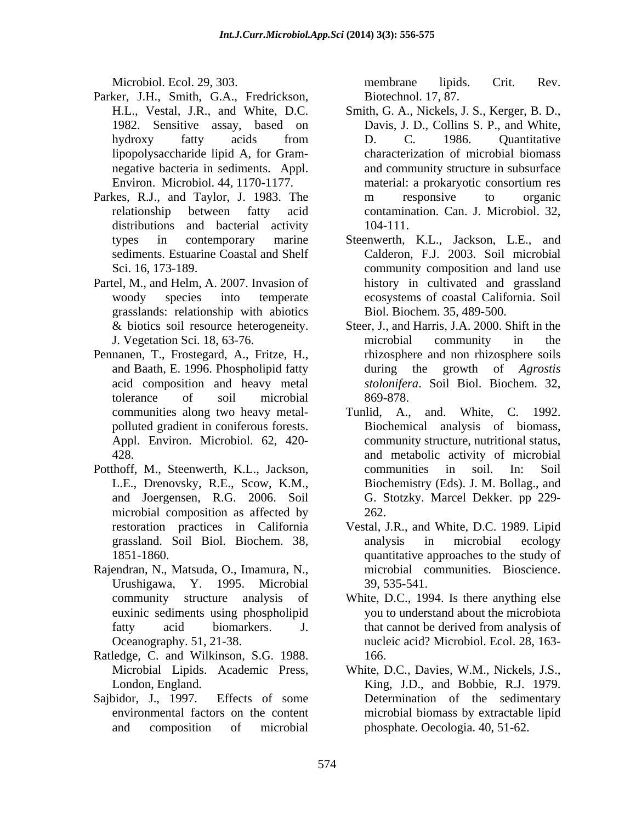- Parker, J.H., Smith, G.A., Fredrickson, lipopolysaccharide lipid A, for Gram-
- Parkes, R.J., and Taylor, J. 1983. The m responsive to organic distributions and bacterial activity 104-111.
- Partel, M., and Helm, A. 2007. Invasion of grasslands: relationship with abiotics
- Pennanen, T., Frostegard, A., Fritze, H., tolerance of soil microbial polluted gradient in coniferous forests.
- Potthoff, M., Steenwerth, K.L., Jackson, L.E., Drenovsky, R.E., Scow, K.M., microbial composition as affected by 262.
- Rajendran, N., Matsuda, O., Imamura, N.,
- Ratledge, C. and Wilkinson, S.G. 1988. 166.
- Sajbidor, J., 1997. Effects of some Determination of the sedimentary

Microbiol. Ecol. 29, 303. The membrane lipids. Crit. Rev. membrane lipids. Crit. Rev. Biotechnol. 17, 87.

- H.L., Vestal, J.R., and White, D.C. Smith, G. A., Nickels, J. S., Kerger, B. D., 1982. Sensitive assay, based on Davis, J. D., Collins S. P., and White, hydroxy fatty acids from D. C. 1986. Quantitative negative bacteria in sediments. Appl. and community structure in subsurface Environ. Microbiol. 44, 1170-1177. material: a prokaryotic consortium res relationship between fatty acid contamination. Can. J. Microbiol. 32, D. C. 1986. Quantitative characterization of microbial biomass material: a prokaryotic consortium res m responsive to organic 104-111.
- types in contemporary marine Steenwerth, K.L., Jackson, L.E., and sediments. Estuarine Coastal and Shelf Calderon, F.J. 2003. Soil microbial Sci. 16, 173-189. community composition and land use woody species into temperate ecosystems of coastal California.Soil history in cultivated and grassland Biol. Biochem. 35, 489-500.
- & biotics soil resource heterogeneity. Steer, J., and Harris, J.A. 2000. Shift in the J. Vegetation Sci. 18, 63-76. and Baath, E. 1996. Phospholipid fatty during the growth of *Agrostis*  acid composition and heavy metal *stolonifera*. Soil Biol. Biochem. 32, microbial community in the rhizosphere and non rhizosphere soils 869-878.
- communities along two heavy metal- Tunlid, A., and. White, C. 1992. Appl. Environ. Microbiol. 62, 420- community structure, nutritional status, 428. and metabolic activity of microbial and Joergensen, R.G. 2006. Soil G. Stotzky. Marcel Dekker. pp 229- Biochemical analysis of biomass, communities in soil. In: Soil Biochemistry (Eds). J. M. Bollag., and 262.
- restoration practices in California Vestal, J.R., and White, D.C. 1989. Lipid grassland. Soil Biol. Biochem. 38, 1851-1860. quantitative approaches to the study of Urushigawa, Y. 1995. Microbial analysis in microbial ecology microbial communities. Bioscience. 39, 535-541.
- community structure analysis of White, D.C., 1994. Is there anything else euxinic sediments using phospholipid you to understand about the microbiota fatty acid biomarkers. J. that cannot be derived from analysis of Oceanography. 51, 21-38. nucleic acid? Microbiol. Ecol. 28, 163 that cannot be derived from analysis of 166.
- Microbial Lipids. Academic Press, White, D.C., Davies, W.M., Nickels, J.S., London, England. King, J.D., and Bobbie, R.J. 1979. environmental factors on the content microbial biomass by extractable lipid and composition of microbial phosphate. Oecologia. 40, 51-62.